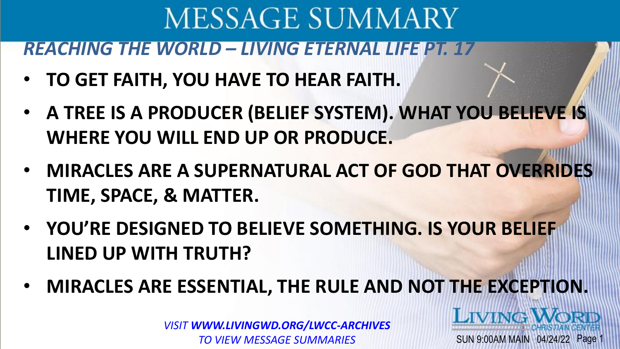*REACHING THE WORLD – LIVING ETERNAL LIFE PT. 17*

- **TO GET FAITH, YOU HAVE TO HEAR FAITH.**
- **A TREE IS A PRODUCER (BELIEF SYSTEM). WHAT YOU BELIEVE IS WHERE YOU WILL END UP OR PRODUCE.**
- **MIRACLES ARE A SUPERNATURAL ACT OF GOD THAT OVERRIDES TIME, SPACE, & MATTER.**
- **YOU'RE DESIGNED TO BELIEVE SOMETHING. IS YOUR BELIEF LINED UP WITH TRUTH?**
- **MIRACLES ARE ESSENTIAL, THE RULE AND NOT THE EXCEPTION.**

SUN 9:00AM MAIN 04/24/22 Page

**LIVING V**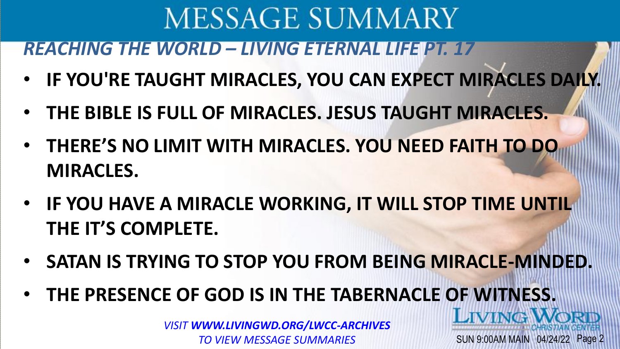*REACHING THE WORLD – LIVING ETERNAL LIFE PT. 17*

- **IF YOU'RE TAUGHT MIRACLES, YOU CAN EXPECT MIRACLES DAILY.**
- **THE BIBLE IS FULL OF MIRACLES. JESUS TAUGHT MIRACLES.**
- **THERE'S NO LIMIT WITH MIRACLES. YOU NEED FAITH TO DO MIRACLES.**
- **IF YOU HAVE A MIRACLE WORKING, IT WILL STOP TIME UNTIL THE IT'S COMPLETE.**
- **SATAN IS TRYING TO STOP YOU FROM BEING MIRACLE-MINDED.**

SUN 9:00AM MAIN 04/24/22 Page 2

LIVING

• **THE PRESENCE OF GOD IS IN THE TABERNACLE OF WITNESS.**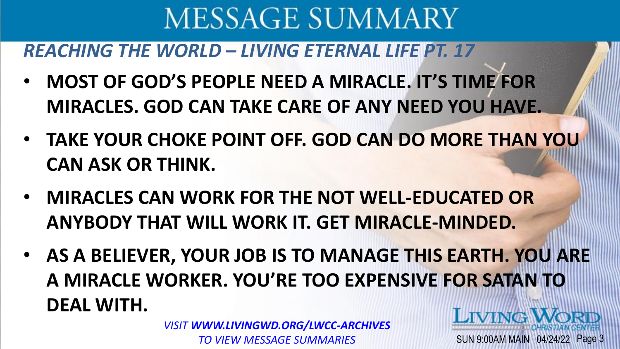*REACHING THE WORLD – LIVING ETERNAL LIFE PT. 17*

- **MOST OF GOD'S PEOPLE NEED A MIRACLE. IT'S TIME FOR MIRACLES. GOD CAN TAKE CARE OF ANY NEED YOU HAVE.**
- **TAKE YOUR CHOKE POINT OFF. GOD CAN DO MORE THAN YOU CAN ASK OR THINK.**
- **MIRACLES CAN WORK FOR THE NOT WELL-EDUCATED OR ANYBODY THAT WILL WORK IT. GET MIRACLE-MINDED.**
- **AS A BELIEVER, YOUR JOB IS TO MANAGE THIS EARTH. YOU ARE A MIRACLE WORKER. YOU'RE TOO EXPENSIVE FOR SATAN TO DEAL WITH. LIVING.**

SUN 9:00AM MAIN 04/24/22 Page 3